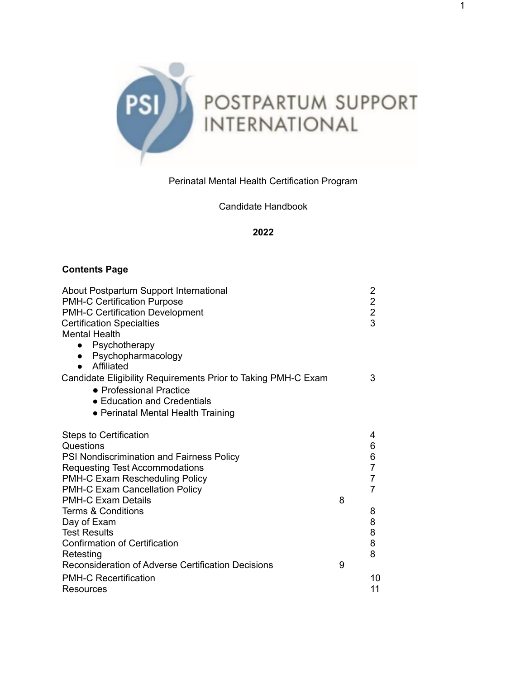

# Perinatal Mental Health Certification Program

Candidate Handbook

## **2022**

## **Contents Page**

| About Postpartum Support International<br><b>PMH-C Certification Purpose</b><br><b>PMH-C Certification Development</b><br><b>Certification Specialties</b><br><b>Mental Health</b><br>Psychotherapy<br>$\bullet$<br>Psychopharmacology<br>$\bullet$<br>Affiliated |   | 2<br>$\overline{\mathbf{c}}$<br>$\frac{2}{3}$                     |
|-------------------------------------------------------------------------------------------------------------------------------------------------------------------------------------------------------------------------------------------------------------------|---|-------------------------------------------------------------------|
| Candidate Eligibility Requirements Prior to Taking PMH-C Exam<br>• Professional Practice                                                                                                                                                                          |   | 3                                                                 |
| • Education and Credentials<br>• Perinatal Mental Health Training                                                                                                                                                                                                 |   |                                                                   |
| Steps to Certification<br>Questions<br>PSI Nondiscrimination and Fairness Policy<br><b>Requesting Test Accommodations</b><br>PMH-C Exam Rescheduling Policy<br><b>PMH-C Exam Cancellation Policy</b><br><b>PMH-C Exam Details</b>                                 | 8 | 4<br>6<br>6<br>$\overline{7}$<br>$\overline{7}$<br>$\overline{7}$ |
| <b>Terms &amp; Conditions</b><br>Day of Exam<br><b>Test Results</b><br><b>Confirmation of Certification</b><br>Retesting                                                                                                                                          |   | 8<br>8<br>8<br>8<br>8                                             |
| Reconsideration of Adverse Certification Decisions<br><b>PMH-C Recertification</b><br>Resources                                                                                                                                                                   | 9 | 10<br>11                                                          |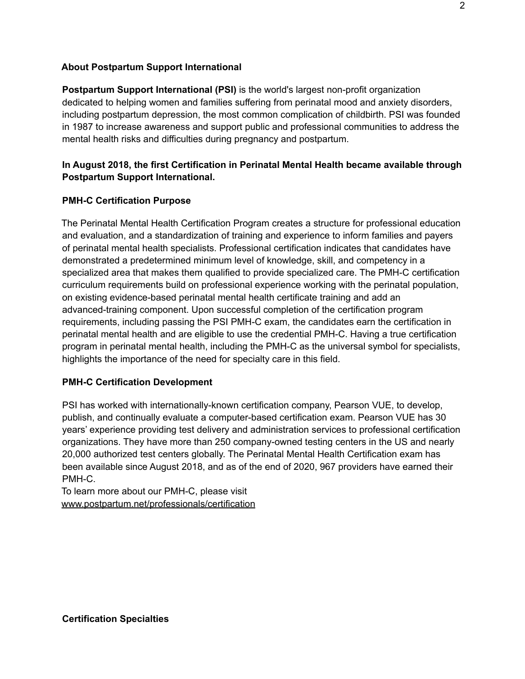### **About Postpartum Support International**

**Postpartum Support International (PSI)** is the world's largest non-profit organization dedicated to helping women and families suffering from perinatal mood and anxiety disorders, including postpartum depression, the most common complication of childbirth. PSI was founded in 1987 to increase awareness and support public and professional communities to address the mental health risks and difficulties during pregnancy and postpartum.

## **In August 2018, the first Certification in Perinatal Mental Health became available through Postpartum Support International.**

## **PMH-C Certification Purpose**

The Perinatal Mental Health Certification Program creates a structure for professional education and evaluation, and a standardization of training and experience to inform families and payers of perinatal mental health specialists. Professional certification indicates that candidates have demonstrated a predetermined minimum level of knowledge, skill, and competency in a specialized area that makes them qualified to provide specialized care. The PMH-C certification curriculum requirements build on professional experience working with the perinatal population, on existing evidence-based perinatal mental health certificate training and add an advanced-training component. Upon successful completion of the certification program requirements, including passing the PSI PMH-C exam, the candidates earn the certification in perinatal mental health and are eligible to use the credential PMH-C. Having a true certification program in perinatal mental health, including the PMH-C as the universal symbol for specialists, highlights the importance of the need for specialty care in this field.

#### **PMH-C Certification Development**

PSI has worked with internationally-known certification company, Pearson VUE, to develop, publish, and continually evaluate a computer-based certification exam. Pearson VUE has 30 years' experience providing test delivery and administration services to professional certification organizations. They have more than 250 company-owned testing centers in the US and nearly 20,000 authorized test centers globally. The Perinatal Mental Health Certification exam has been available since August 2018, and as of the end of 2020, 967 providers have earned their PMH-C.

To learn more about our PMH-C, please visit www.postpartum.net/professionals/certification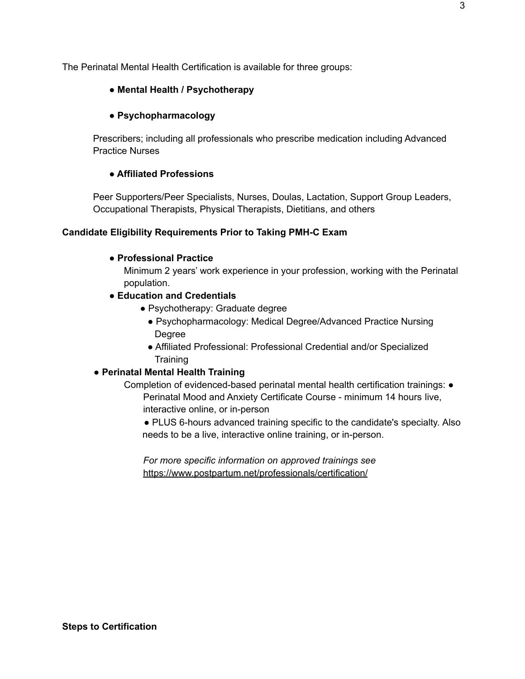The Perinatal Mental Health Certification is available for three groups:

## **● Mental Health / Psychotherapy**

## **● Psychopharmacology**

Prescribers; including all professionals who prescribe medication including Advanced Practice Nurses

## **● Affiliated Professions**

Peer Supporters/Peer Specialists, Nurses, Doulas, Lactation, Support Group Leaders, Occupational Therapists, Physical Therapists, Dietitians, and others

## **Candidate Eligibility Requirements Prior to Taking PMH-C Exam**

## **● Professional Practice**

Minimum 2 years' work experience in your profession, working with the Perinatal population.

## **● Education and Credentials**

- Psychotherapy: Graduate degree
	- Psychopharmacology: Medical Degree/Advanced Practice Nursing Degree
	- Affiliated Professional: Professional Credential and/or Specialized **Training**

## **● Perinatal Mental Health Training**

Completion of evidenced-based perinatal mental health certification trainings: ● Perinatal Mood and Anxiety Certificate Course - minimum 14 hours live, interactive online, or in-person

• PLUS 6-hours advanced training specific to the candidate's specialty. Also needs to be a live, interactive online training, or in-person.

*For more specific information on approved trainings see* https://www.postpartum.net/professionals/certification/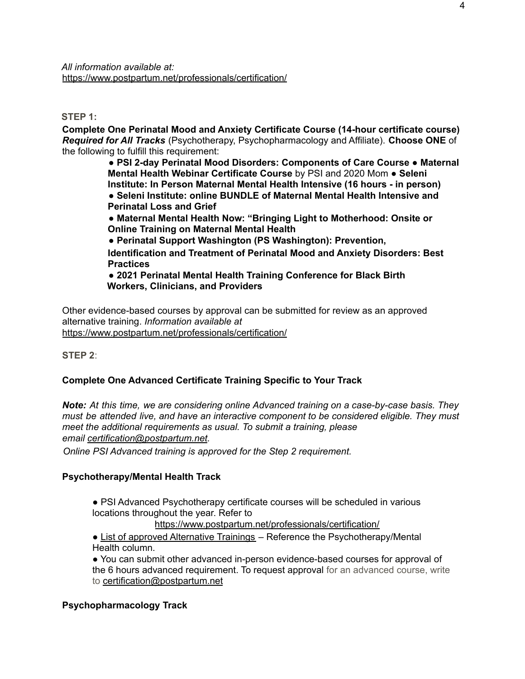*All information available at:* https://www.postpartum.net/professionals/certification/

#### **STEP 1:**

**Complete One Perinatal Mood and Anxiety Certificate Course (14-hour certificate course)** *Required for All Tracks* (Psychotherapy, Psychopharmacology and Affiliate). **Choose ONE** of the following to fulfill this requirement:

> **● PSI 2-day Perinatal Mood Disorders: Components of Care Course** ● **Maternal Mental Health Webinar Certificate Course** by PSI and 2020 Mom **● Seleni Institute: In Person Maternal Mental Health Intensive (16 hours - in person) ● Seleni Institute: online BUNDLE of Maternal Mental Health Intensive and Perinatal Loss and Grief**

**● Maternal Mental Health Now: "Bringing Light to Motherhood: Onsite or Online Training on Maternal Mental Health**

**● Perinatal Support Washington (PS Washington): Prevention,**

**Identification and Treatment of Perinatal Mood and Anxiety Disorders: Best Practices**

**● 2021 Perinatal Mental Health Training Conference for Black Birth Workers, Clinicians, and Providers**

Other evidence-based courses by approval can be submitted for review as an approved alternative training. *Information available at* https://www.postpartum.net/professionals/certification/

**STEP 2**:

#### **Complete One Advanced Certificate Training Specific to Your Track**

*Note: At this time, we are considering online Advanced training on a case-by-case basis. They must be attended live, and have an interactive component to be considered eligible. They must meet the additional requirements as usual. To submit a training, please email certification@postpartum.net.*

*Online PSI Advanced training is approved for the Step 2 requirement.*

#### **Psychotherapy/Mental Health Track**

● PSI Advanced Psychotherapy certificate courses will be scheduled in various locations throughout the year. Refer to

https://www.postpartum.net/professionals/certification/

● List of approved Alternative Trainings – Reference the Psychotherapy/Mental Health column.

● You can submit other advanced in-person evidence-based courses for approval of the 6 hours advanced requirement. To request approval for an advanced course, write to certification@postpartum.net

### **Psychopharmacology Track**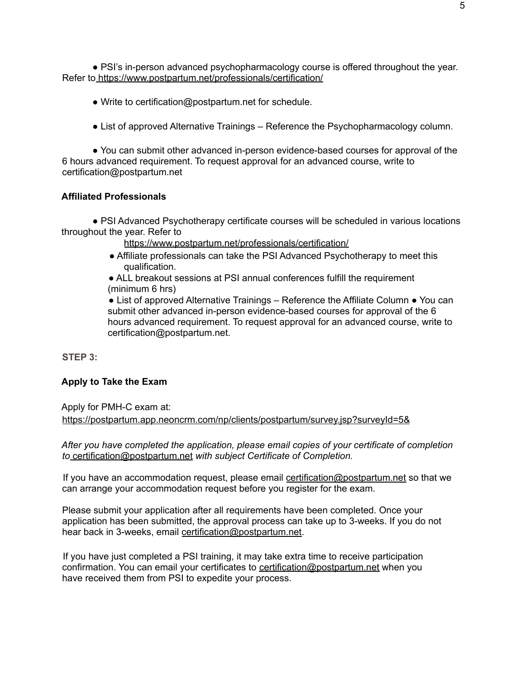● PSI's in-person advanced psychopharmacology course is offered throughout the year. Refer to https://www.postpartum.net/professionals/certification/

- Write to certification@postpartum.net for schedule.
- List of approved Alternative Trainings Reference the Psychopharmacology column.

● You can submit other advanced in-person evidence-based courses for approval of the 6 hours advanced requirement. To request approval for an advanced course, write to certification@postpartum.net

## **Affiliated Professionals**

• PSI Advanced Psychotherapy certificate courses will be scheduled in various locations throughout the year. Refer to

https://www.postpartum.net/professionals/certification/

- Affiliate professionals can take the PSI Advanced Psychotherapy to meet this qualification.
- ALL breakout sessions at PSI annual conferences fulfill the requirement (minimum 6 hrs)

● List of approved Alternative Trainings – Reference the Affiliate Column ● You can submit other advanced in-person evidence-based courses for approval of the 6 hours advanced requirement. To request approval for an advanced course, write to certification@postpartum.net.

**STEP 3:**

## **Apply to Take the Exam**

Apply for PMH-C exam at: https://postpartum.app.neoncrm.com/np/clients/postpartum/survey.jsp?surveyId=5&

*After you have completed the application, please email copies of your certificate of completion to* certification@postpartum.net *with subject Certificate of Completion.*

If you have an accommodation request, please email certification@postpartum.net so that we can arrange your accommodation request before you register for the exam.

Please submit your application after all requirements have been completed. Once your application has been submitted, the approval process can take up to 3-weeks. If you do not hear back in 3-weeks, email certification@postpartum.net.

If you have just completed a PSI training, it may take extra time to receive participation confirmation. You can email your certificates to certification@postpartum.net when you have received them from PSI to expedite your process.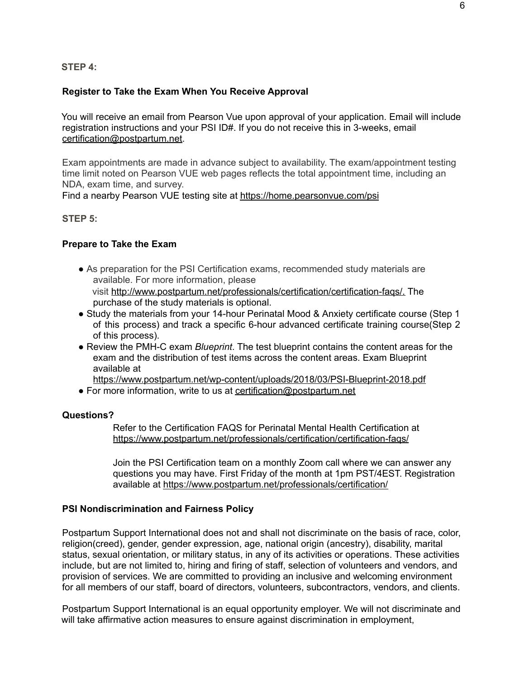**STEP 4:**

#### **Register to Take the Exam When You Receive Approval**

You will receive an email from Pearson Vue upon approval of your application. Email will include registration instructions and your PSI ID#. If you do not receive this in 3-weeks, email certification@postpartum.net.

Exam appointments are made in advance subject to availability. The exam/appointment testing time limit noted on Pearson VUE web pages reflects the total appointment time, including an NDA, exam time, and survey.

Find a nearby Pearson VUE testing site at https://home.pearsonvue.com/psi

#### **STEP 5:**

#### **Prepare to Take the Exam**

- As preparation for the PSI Certification exams, recommended study materials are available. For more information, please visit http://www.postpartum.net/professionals/certification/certification-faqs/. The purchase of the study materials is optional.
- Study the materials from your 14-hour Perinatal Mood & Anxiety certificate course (Step 1) of this process) and track a specific 6-hour advanced certificate training course(Step 2 of this process).
- Review the PMH-C exam *Blueprint*. The test blueprint contains the content areas for the exam and the distribution of test items across the content areas. Exam Blueprint available at

https://www.postpartum.net/wp-content/uploads/2018/03/PSI-Blueprint-2018.pdf

• For more information, write to us at certification@postpartum.net

#### **Questions?**

Refer to the Certification FAQS for Perinatal Mental Health Certification at https://www.postpartum.net/professionals/certification/certification-faqs/

Join the PSI Certification team on a monthly Zoom call where we can answer any questions you may have. First Friday of the month at 1pm PST/4EST. Registration available at https://www.postpartum.net/professionals/certification/

#### **PSI Nondiscrimination and Fairness Policy**

Postpartum Support International does not and shall not discriminate on the basis of race, color, religion(creed), gender, gender expression, age, national origin (ancestry), disability, marital status, sexual orientation, or military status, in any of its activities or operations. These activities include, but are not limited to, hiring and firing of staff, selection of volunteers and vendors, and provision of services. We are committed to providing an inclusive and welcoming environment for all members of our staff, board of directors, volunteers, subcontractors, vendors, and clients.

Postpartum Support International is an equal opportunity employer. We will not discriminate and will take affirmative action measures to ensure against discrimination in employment,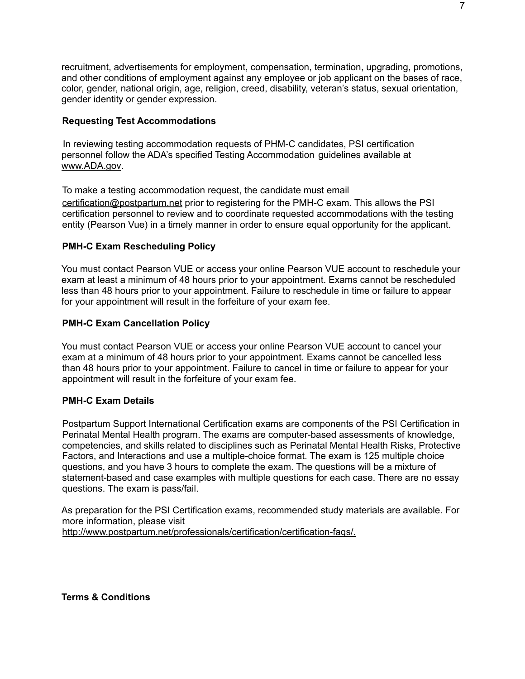recruitment, advertisements for employment, compensation, termination, upgrading, promotions, and other conditions of employment against any employee or job applicant on the bases of race, color, gender, national origin, age, religion, creed, disability, veteran's status, sexual orientation, gender identity or gender expression.

### **Requesting Test Accommodations**

In reviewing testing accommodation requests of PHM-C candidates, PSI certification personnel follow the ADA's specified Testing Accommodation guidelines available at www.ADA.gov.

To make a testing accommodation request, the candidate must email

certification@postpartum.net prior to registering for the PMH-C exam. This allows the PSI certification personnel to review and to coordinate requested accommodations with the testing entity (Pearson Vue) in a timely manner in order to ensure equal opportunity for the applicant.

### **PMH-C Exam Rescheduling Policy**

You must contact Pearson VUE or access your online Pearson VUE account to reschedule your exam at least a minimum of 48 hours prior to your appointment. Exams cannot be rescheduled less than 48 hours prior to your appointment. Failure to reschedule in time or failure to appear for your appointment will result in the forfeiture of your exam fee.

### **PMH-C Exam Cancellation Policy**

You must contact Pearson VUE or access your online Pearson VUE account to cancel your exam at a minimum of 48 hours prior to your appointment. Exams cannot be cancelled less than 48 hours prior to your appointment. Failure to cancel in time or failure to appear for your appointment will result in the forfeiture of your exam fee.

#### **PMH-C Exam Details**

Postpartum Support International Certification exams are components of the PSI Certification in Perinatal Mental Health program. The exams are computer-based assessments of knowledge, competencies, and skills related to disciplines such as Perinatal Mental Health Risks, Protective Factors, and Interactions and use a multiple-choice format. The exam is 125 multiple choice questions, and you have 3 hours to complete the exam. The questions will be a mixture of statement-based and case examples with multiple questions for each case. There are no essay questions. The exam is pass/fail.

As preparation for the PSI Certification exams, recommended study materials are available. For more information, please visit http://www.postpartum.net/professionals/certification/certification-faqs/.

**Terms & Conditions**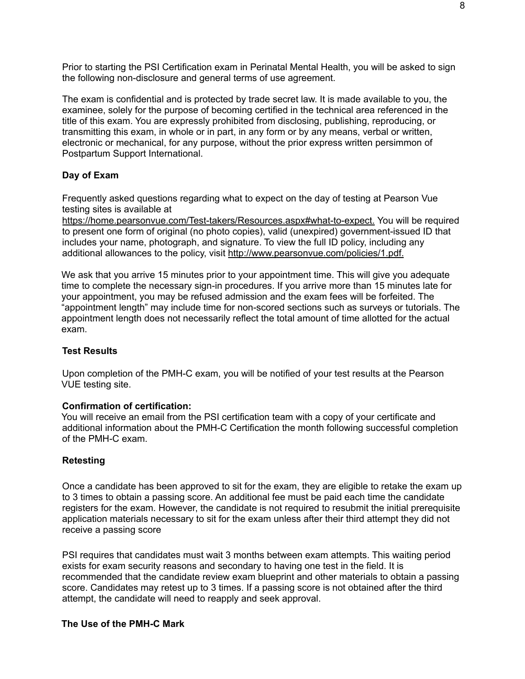Prior to starting the PSI Certification exam in Perinatal Mental Health, you will be asked to sign the following non-disclosure and general terms of use agreement.

The exam is confidential and is protected by trade secret law. It is made available to you, the examinee, solely for the purpose of becoming certified in the technical area referenced in the title of this exam. You are expressly prohibited from disclosing, publishing, reproducing, or transmitting this exam, in whole or in part, in any form or by any means, verbal or written, electronic or mechanical, for any purpose, without the prior express written persimmon of Postpartum Support International.

### **Day of Exam**

Frequently asked questions regarding what to expect on the day of testing at Pearson Vue testing sites is available at

https://home.pearsonvue.com/Test-takers/Resources.aspx#what-to-expect. You will be required to present one form of original (no photo copies), valid (unexpired) government-issued ID that includes your name, photograph, and signature. To view the full ID policy, including any additional allowances to the policy, visit http://www.pearsonvue.com/policies/1.pdf.

We ask that you arrive 15 minutes prior to your appointment time. This will give you adequate time to complete the necessary sign-in procedures. If you arrive more than 15 minutes late for your appointment, you may be refused admission and the exam fees will be forfeited. The "appointment length" may include time for non-scored sections such as surveys or tutorials. The appointment length does not necessarily reflect the total amount of time allotted for the actual exam.

#### **Test Results**

Upon completion of the PMH-C exam, you will be notified of your test results at the Pearson VUE testing site.

#### **Confirmation of certification:**

You will receive an email from the PSI certification team with a copy of your certificate and additional information about the PMH-C Certification the month following successful completion of the PMH-C exam.

#### **Retesting**

Once a candidate has been approved to sit for the exam, they are eligible to retake the exam up to 3 times to obtain a passing score. An additional fee must be paid each time the candidate registers for the exam. However, the candidate is not required to resubmit the initial prerequisite application materials necessary to sit for the exam unless after their third attempt they did not receive a passing score

PSI requires that candidates must wait 3 months between exam attempts. This waiting period exists for exam security reasons and secondary to having one test in the field. It is recommended that the candidate review exam blueprint and other materials to obtain a passing score. Candidates may retest up to 3 times. If a passing score is not obtained after the third attempt, the candidate will need to reapply and seek approval.

#### **The Use of the PMH-C Mark**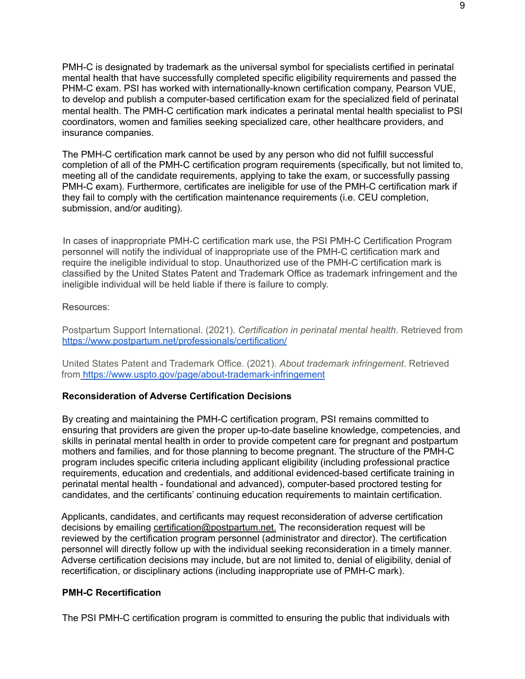PMH-C is designated by trademark as the universal symbol for specialists certified in perinatal mental health that have successfully completed specific eligibility requirements and passed the PHM-C exam. PSI has worked with internationally-known certification company, Pearson VUE, to develop and publish a computer-based certification exam for the specialized field of perinatal mental health. The PMH-C certification mark indicates a perinatal mental health specialist to PSI coordinators, women and families seeking specialized care, other healthcare providers, and insurance companies.

The PMH-C certification mark cannot be used by any person who did not fulfill successful completion of all of the PMH-C certification program requirements (specifically, but not limited to, meeting all of the candidate requirements, applying to take the exam, or successfully passing PMH-C exam). Furthermore, certificates are ineligible for use of the PMH-C certification mark if they fail to comply with the certification maintenance requirements (i.e. CEU completion, submission, and/or auditing).

In cases of inappropriate PMH-C certification mark use, the PSI PMH-C Certification Program personnel will notify the individual of inappropriate use of the PMH-C certification mark and require the ineligible individual to stop. Unauthorized use of the PMH-C certification mark is classified by the United States Patent and Trademark Office as trademark infringement and the ineligible individual will be held liable if there is failure to comply.

#### Resources:

Postpartum Support International. (2021). *Certification in perinatal mental health*. Retrieved from https://www.postpartum.net/professionals/certification/

United States Patent and Trademark Office. (2021). *About trademark infringement*. Retrieved from https://www.uspto.gov/page/about-trademark-infringement

#### **Reconsideration of Adverse Certification Decisions**

By creating and maintaining the PMH-C certification program, PSI remains committed to ensuring that providers are given the proper up-to-date baseline knowledge, competencies, and skills in perinatal mental health in order to provide competent care for pregnant and postpartum mothers and families, and for those planning to become pregnant. The structure of the PMH-C program includes specific criteria including applicant eligibility (including professional practice requirements, education and credentials, and additional evidenced-based certificate training in perinatal mental health - foundational and advanced), computer-based proctored testing for candidates, and the certificants' continuing education requirements to maintain certification.

Applicants, candidates, and certificants may request reconsideration of adverse certification decisions by emailing certification@postpartum.net. The reconsideration request will be reviewed by the certification program personnel (administrator and director). The certification personnel will directly follow up with the individual seeking reconsideration in a timely manner. Adverse certification decisions may include, but are not limited to, denial of eligibility, denial of recertification, or disciplinary actions (including inappropriate use of PMH-C mark).

#### **PMH-C Recertification**

The PSI PMH-C certification program is committed to ensuring the public that individuals with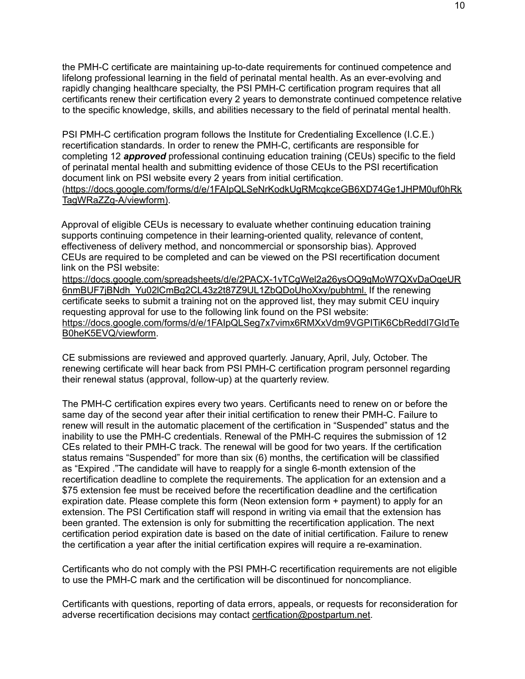the PMH-C certificate are maintaining up-to-date requirements for continued competence and lifelong professional learning in the field of perinatal mental health. As an ever-evolving and rapidly changing healthcare specialty, the PSI PMH-C certification program requires that all certificants renew their certification every 2 years to demonstrate continued competence relative to the specific knowledge, skills, and abilities necessary to the field of perinatal mental health.

PSI PMH-C certification program follows the Institute for Credentialing Excellence (I.C.E.) recertification standards. In order to renew the PMH-C, certificants are responsible for completing 12 *approved* professional continuing education training (CEUs) specific to the field of perinatal mental health and submitting evidence of those CEUs to the PSI recertification document link on PSI website every 2 years from initial certification.

(https://docs.google.com/forms/d/e/1FAIpQLSeNrKodkUgRMcqkceGB6XD74Ge1JHPM0uf0hRk TagWRaZZg-A/viewform).

Approval of eligible CEUs is necessary to evaluate whether continuing education training supports continuing competence in their learning-oriented quality, relevance of content, effectiveness of delivery method, and noncommercial or sponsorship bias). Approved CEUs are required to be completed and can be viewed on the PSI recertification document link on the PSI website:

https://docs.google.com/spreadsheets/d/e/2PACX-1vTCgWel2a26ysOQ9qMoW7QXvDaOqeUR 6nmBUF7jBNdh\_Yu02lCmBg2CL43z2t87Z9UL1ZbQDoUhoXxy/pubhtml. If the renewing certificate seeks to submit a training not on the approved list, they may submit CEU inquiry requesting approval for use to the following link found on the PSI website: https://docs.google.com/forms/d/e/1FAIpQLSeg7x7vimx6RMXxVdm9VGPITiK6CbReddI7GIdTe B0heK5EVQ/viewform.

CE submissions are reviewed and approved quarterly. January, April, July, October. The renewing certificate will hear back from PSI PMH-C certification program personnel regarding their renewal status (approval, follow-up) at the quarterly review.

The PMH-C certification expires every two years. Certificants need to renew on or before the same day of the second year after their initial certification to renew their PMH-C. Failure to renew will result in the automatic placement of the certification in "Suspended" status and the inability to use the PMH-C credentials. Renewal of the PMH-C requires the submission of 12 CEs related to their PMH-C track. The renewal will be good for two years. If the certification status remains "Suspended" for more than six (6) months, the certification will be classified as "Expired ."The candidate will have to reapply for a single 6-month extension of the recertification deadline to complete the requirements. The application for an extension and a \$75 extension fee must be received before the recertification deadline and the certification expiration date. Please complete this form (Neon extension form + payment) to apply for an extension. The PSI Certification staff will respond in writing via email that the extension has been granted. The extension is only for submitting the recertification application. The next certification period expiration date is based on the date of initial certification. Failure to renew the certification a year after the initial certification expires will require a re-examination.

Certificants who do not comply with the PSI PMH-C recertification requirements are not eligible to use the PMH-C mark and the certification will be discontinued for noncompliance.

Certificants with questions, reporting of data errors, appeals, or requests for reconsideration for adverse recertification decisions may contact certfication@postpartum.net.